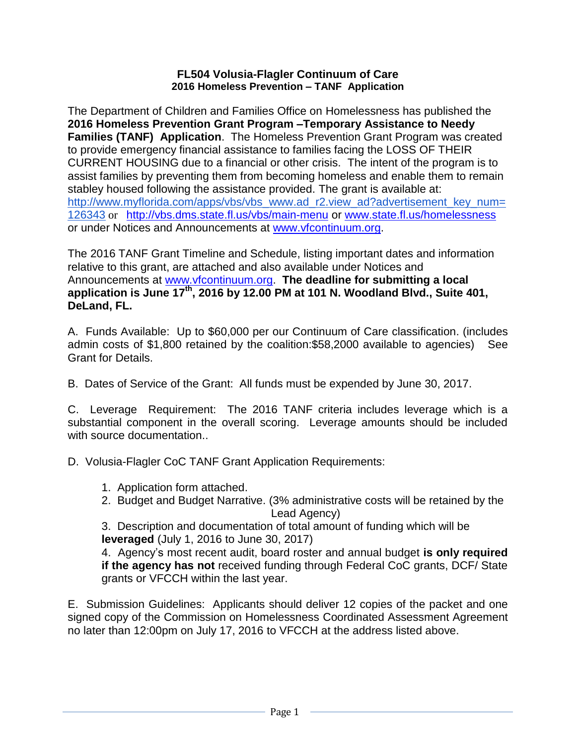## **FL504 Volusia-Flagler Continuum of Care 2016 Homeless Prevention – TANF Application**

The Department of Children and Families Office on Homelessness has published the **2016 Homeless Prevention Grant Program –Temporary Assistance to Needy Families (TANF) Application**. The Homeless Prevention Grant Program was created to provide emergency financial assistance to families facing the LOSS OF THEIR CURRENT HOUSING due to a financial or other crisis. The intent of the program is to assist families by preventing them from becoming homeless and enable them to remain stabley housed following the assistance provided. The grant is available at: [http://www.myflorida.com/apps/vbs/vbs\\_www.ad\\_r2.view\\_ad?advertisement\\_key\\_num=](http://www.myflorida.com/apps/vbs/vbs_www.ad_r2.view_ad?advertisement_key_num=126343) [126343](http://www.myflorida.com/apps/vbs/vbs_www.ad_r2.view_ad?advertisement_key_num=126343) or <http://vbs.dms.state.fl.us/vbs/main-menu> or [www.state.fl.us/homelessness](http://www.state.fl.us/homelessness) or under Notices and Announcements at [www.vfcontinuum.org.](http://www.vfcontinuum.org/)

The 2016 TANF Grant Timeline and Schedule, listing important dates and information relative to this grant, are attached and also available under Notices and Announcements at [www.vfcontinuum.org.](http://www.vfcontinuum.org/) **The deadline for submitting a local application is June 17 th, 2016 by 12.00 PM at 101 N. Woodland Blvd., Suite 401, DeLand, FL.**

A. Funds Available: Up to \$60,000 per our Continuum of Care classification. (includes admin costs of \$1,800 retained by the coalition:\$58,2000 available to agencies) See Grant for Details.

B. Dates of Service of the Grant: All funds must be expended by June 30, 2017.

C. Leverage Requirement: The 2016 TANF criteria includes leverage which is a substantial component in the overall scoring. Leverage amounts should be included with source documentation..

D. Volusia-Flagler CoC TANF Grant Application Requirements:

- 1. Application form attached.
- 2. Budget and Budget Narrative. (3% administrative costs will be retained by the Lead Agency)

3. Description and documentation of total amount of funding which will be **leveraged** (July 1, 2016 to June 30, 2017)

4. Agency's most recent audit, board roster and annual budget **is only required if the agency has not** received funding through Federal CoC grants, DCF/ State grants or VFCCH within the last year.

E. Submission Guidelines: Applicants should deliver 12 copies of the packet and one signed copy of the Commission on Homelessness Coordinated Assessment Agreement no later than 12:00pm on July 17, 2016 to VFCCH at the address listed above.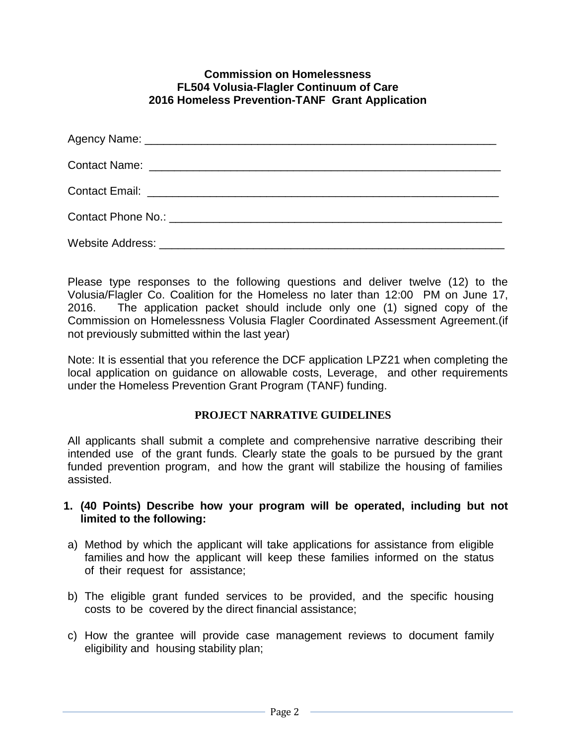## **Commission on Homelessness FL504 Volusia-Flagler Continuum of Care 2016 Homeless Prevention-TANF Grant Application**

| Website Address: Universe and Separate and Separate and Separate and Separate and Separate and Separate and Separate and Separate and Separate and Separate and Separate and Separate and Separate and Separate and Separate a |  |
|--------------------------------------------------------------------------------------------------------------------------------------------------------------------------------------------------------------------------------|--|

Please type responses to the following questions and deliver twelve (12) to the Volusia/Flagler Co. Coalition for the Homeless no later than 12:00 PM on June 17, 2016. The application packet should include only one (1) signed copy of the Commission on Homelessness Volusia Flagler Coordinated Assessment Agreement.(if not previously submitted within the last year)

Note: It is essential that you reference the DCF application LPZ21 when completing the local application on guidance on allowable costs, Leverage, and other requirements under the Homeless Prevention Grant Program (TANF) funding.

## **PROJECT NARRATIVE GUIDELINES**

All applicants shall submit a complete and comprehensive narrative describing their intended use of the grant funds. Clearly state the goals to be pursued by the grant funded prevention program, and how the grant will stabilize the housing of families assisted.

## **1. (40 Points) Describe how your program will be operated, including but not limited to the following:**

- a) Method by which the applicant will take applications for assistance from eligible families and how the applicant will keep these families informed on the status of their request for assistance;
- b) The eligible grant funded services to be provided, and the specific housing costs to be covered by the direct financial assistance;
- c) How the grantee will provide case management reviews to document family eligibility and housing stability plan;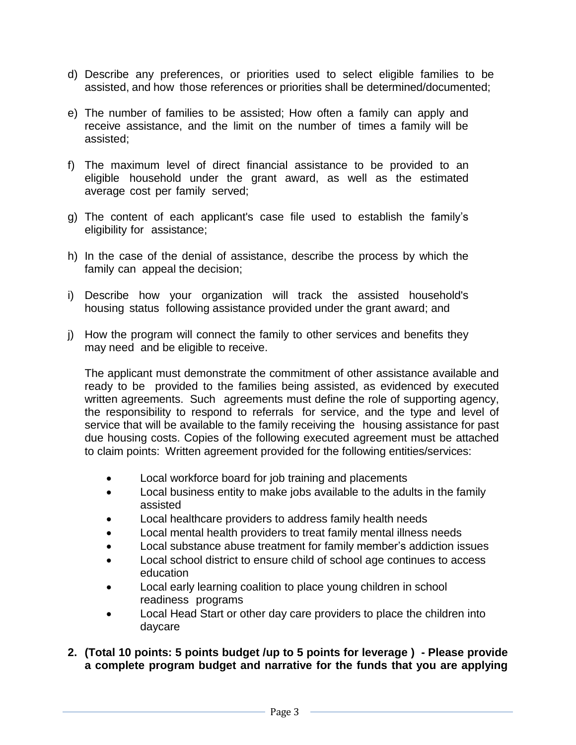- d) Describe any preferences, or priorities used to select eligible families to be assisted, and how those references or priorities shall be determined/documented;
- e) The number of families to be assisted; How often a family can apply and receive assistance, and the limit on the number of times a family will be assisted;
- f) The maximum level of direct financial assistance to be provided to an eligible household under the grant award, as well as the estimated average cost per family served;
- g) The content of each applicant's case file used to establish the family's eligibility for assistance;
- h) In the case of the denial of assistance, describe the process by which the family can appeal the decision;
- i) Describe how your organization will track the assisted household's housing status following assistance provided under the grant award; and
- j) How the program will connect the family to other services and benefits they may need and be eligible to receive.

The applicant must demonstrate the commitment of other assistance available and ready to be provided to the families being assisted, as evidenced by executed written agreements. Such agreements must define the role of supporting agency, the responsibility to respond to referrals for service, and the type and level of service that will be available to the family receiving the housing assistance for past due housing costs. Copies of the following executed agreement must be attached to claim points: Written agreement provided for the following entities/services:

- Local workforce board for job training and placements
- Local business entity to make jobs available to the adults in the family assisted
- Local healthcare providers to address family health needs
- Local mental health providers to treat family mental illness needs
- Local substance abuse treatment for family member's addiction issues
- Local school district to ensure child of school age continues to access education
- Local early learning coalition to place young children in school readiness programs
- Local Head Start or other day care providers to place the children into daycare
- **2. (Total 10 points: 5 points budget /up to 5 points for leverage ) - Please provide a complete program budget and narrative for the funds that you are applying**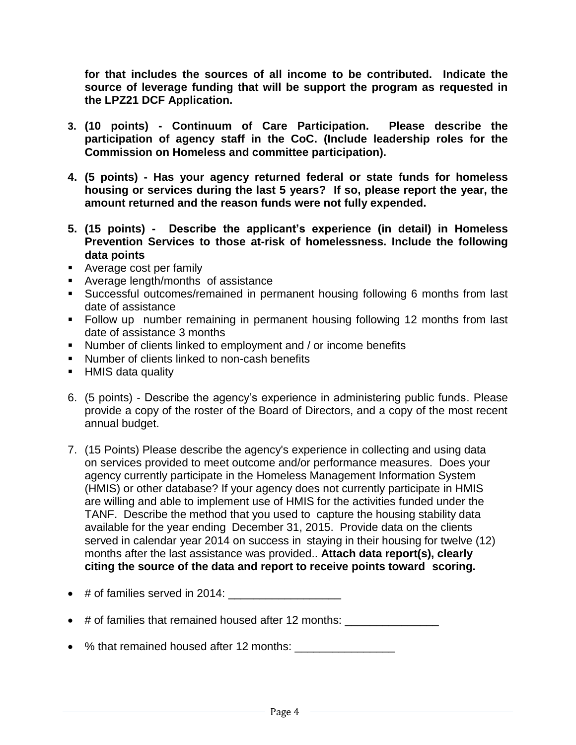**for that includes the sources of all income to be contributed. Indicate the source of leverage funding that will be support the program as requested in the LPZ21 DCF Application.** 

- **3. (10 points) - Continuum of Care Participation. Please describe the participation of agency staff in the CoC. (Include leadership roles for the Commission on Homeless and committee participation).**
- **4. (5 points) - Has your agency returned federal or state funds for homeless housing or services during the last 5 years? If so, please report the year, the amount returned and the reason funds were not fully expended.**
- **5. (15 points) - Describe the applicant's experience (in detail) in Homeless Prevention Services to those at-risk of homelessness. Include the following data points**
- Average cost per family
- **Average length/months of assistance**
- Successful outcomes/remained in permanent housing following 6 months from last date of assistance
- Follow up number remaining in permanent housing following 12 months from last date of assistance 3 months
- Number of clients linked to employment and / or income benefits
- **Number of clients linked to non-cash benefits**
- **HMIS data quality**
- 6. (5 points) Describe the agency's experience in administering public funds. Please provide a copy of the roster of the Board of Directors, and a copy of the most recent annual budget.
- 7. (15 Points) Please describe the agency's experience in collecting and using data on services provided to meet outcome and/or performance measures. Does your agency currently participate in the Homeless Management Information System (HMIS) or other database? If your agency does not currently participate in HMIS are willing and able to implement use of HMIS for the activities funded under the TANF. Describe the method that you used to capture the housing stability data available for the year ending December 31, 2015. Provide data on the clients served in calendar year 2014 on success in staying in their housing for twelve (12) months after the last assistance was provided.. **Attach data report(s), clearly citing the source of the data and report to receive points toward scoring.**
- $\bullet$  # of families served in 2014:
- $\bullet$  # of families that remained housed after 12 months:
- % that remained housed after 12 months: \_\_\_\_\_\_\_\_\_\_\_\_\_\_\_\_